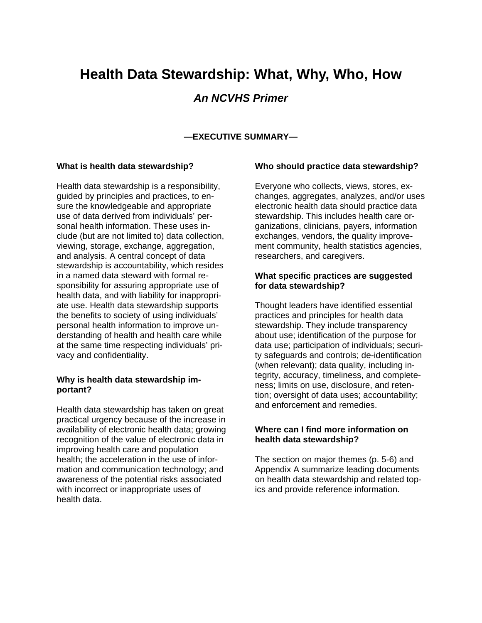# **Health Data Stewardship: What, Why, Who, How**

## *An NCVHS Primer*

### **—EXECUTIVE SUMMARY—**

#### **What is health data stewardship?**

Health data stewardship is a responsibility, guided by principles and practices, to ensure the knowledgeable and appropriate use of data derived from individuals' personal health information. These uses include (but are not limited to) data collection, viewing, storage, exchange, aggregation, and analysis. A central concept of data stewardship is accountability, which resides in a named data steward with formal responsibility for assuring appropriate use of health data, and with liability for inappropriate use. Health data stewardship supports the benefits to society of using individuals' personal health information to improve understanding of health and health care while at the same time respecting individuals' privacy and confidentiality.

#### **Why is health data stewardship important?**

Health data stewardship has taken on great practical urgency because of the increase in availability of electronic health data; growing recognition of the value of electronic data in improving health care and population health; the acceleration in the use of information and communication technology; and awareness of the potential risks associated with incorrect or inappropriate uses of health data.

#### **Who should practice data stewardship?**

Everyone who collects, views, stores, exchanges, aggregates, analyzes, and/or uses electronic health data should practice data stewardship. This includes health care organizations, clinicians, payers, information exchanges, vendors, the quality improvement community, health statistics agencies, researchers, and caregivers.

### **What specific practices are suggested for data stewardship?**

Thought leaders have identified essential practices and principles for health data stewardship. They include transparency about use; identification of the purpose for data use; participation of individuals; security safeguards and controls; de-identification (when relevant); data quality, including integrity, accuracy, timeliness, and completeness; limits on use, disclosure, and retention; oversight of data uses; accountability; and enforcement and remedies.

### **Where can I find more information on health data stewardship?**

The section on major themes (p. 5-6) and Appendix A summarize leading documents on health data stewardship and related topics and provide reference information.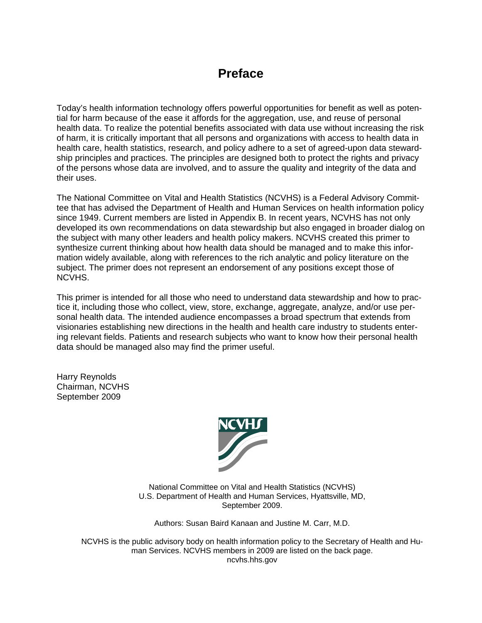## **Preface**

Today's health information technology offers powerful opportunities for benefit as well as potential for harm because of the ease it affords for the aggregation, use, and reuse of personal health data. To realize the potential benefits associated with data use without increasing the risk of harm, it is critically important that all persons and organizations with access to health data in health care, health statistics, research, and policy adhere to a set of agreed-upon data stewardship principles and practices. The principles are designed both to protect the rights and privacy of the persons whose data are involved, and to assure the quality and integrity of the data and their uses.

The National Committee on Vital and Health Statistics (NCVHS) is a Federal Advisory Committee that has advised the Department of Health and Human Services on health information policy since 1949. Current members are listed in Appendix B. In recent years, NCVHS has not only developed its own recommendations on data stewardship but also engaged in broader dialog on the subject with many other leaders and health policy makers. NCVHS created this primer to synthesize current thinking about how health data should be managed and to make this information widely available, along with references to the rich analytic and policy literature on the subject. The primer does not represent an endorsement of any positions except those of NCVHS.

This primer is intended for all those who need to understand data stewardship and how to practice it, including those who collect, view, store, exchange, aggregate, analyze, and/or use personal health data. The intended audience encompasses a broad spectrum that extends from visionaries establishing new directions in the health and health care industry to students entering relevant fields. Patients and research subjects who want to know how their personal health data should be managed also may find the primer useful.

Harry Reynolds Chairman, NCVHS September 2009



National Committee on Vital and Health Statistics (NCVHS) U.S. Department of Health and Human Services, Hyattsville, MD, September 2009.

Authors: Susan Baird Kanaan and Justine M. Carr, M.D.

NCVHS is the public advisory body on health information policy to the Secretary of Health and Human Services. NCVHS members in 2009 are listed on the back page. ncvhs.hhs.gov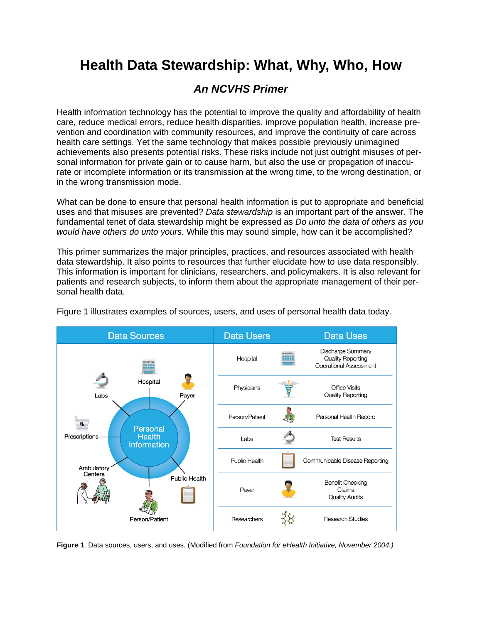# **Health Data Stewardship: What, Why, Who, How**

## *An NCVHS Primer*

Health information technology has the potential to improve the quality and affordability of health care, reduce medical errors, reduce health disparities, improve population health, increase prevention and coordination with community resources, and improve the continuity of care across health care settings. Yet the same technology that makes possible previously unimagined achievements also presents potential risks. These risks include not just outright misuses of personal information for private gain or to cause harm, but also the use or propagation of inaccurate or incomplete information or its transmission at the wrong time, to the wrong destination, or in the wrong transmission mode.

What can be done to ensure that personal health information is put to appropriate and beneficial uses and that misuses are prevented? *Data stewardship* is an important part of the answer. The fundamental tenet of data stewardship might be expressed as *Do unto the data of others as you would have others do unto yours.* While this may sound simple, how can it be accomplished?

This primer summarizes the major principles, practices, and resources associated with health data stewardship. It also points to resources that further elucidate how to use data responsibly. This information is important for clinicians, researchers, and policymakers. It is also relevant for patients and research subjects, to inform them about the appropriate management of their personal health data.



Figure 1 illustrates examples of sources, users, and uses of personal health data today.

**Figure 1**. Data sources, users, and uses. (Modified from *Foundation for eHealth Initiative, November 2004.)*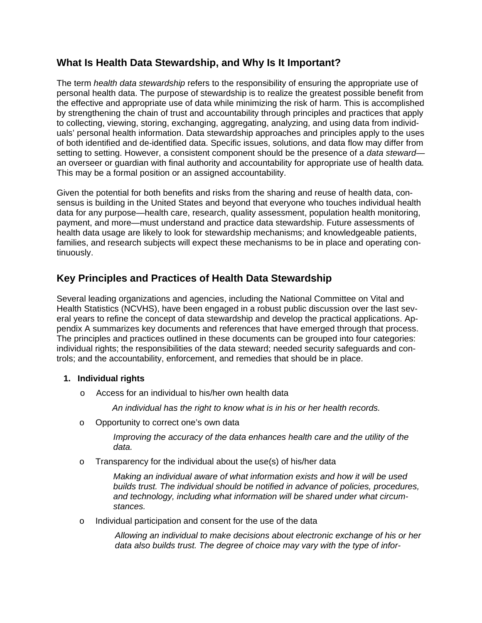## **What Is Health Data Stewardship, and Why Is It Important?**

The term *health data stewardship* refers to the responsibility of ensuring the appropriate use of personal health data. The purpose of stewardship is to realize the greatest possible benefit from the effective and appropriate use of data while minimizing the risk of harm. This is accomplished by strengthening the chain of trust and accountability through principles and practices that apply to collecting, viewing, storing, exchanging, aggregating, analyzing, and using data from individuals' personal health information. Data stewardship approaches and principles apply to the uses of both identified and de-identified data. Specific issues, solutions, and data flow may differ from setting to setting. However, a consistent component should be the presence of a *data steward* an overseer or guardian with final authority and accountability for appropriate use of health data*.* This may be a formal position or an assigned accountability.

Given the potential for both benefits and risks from the sharing and reuse of health data, consensus is building in the United States and beyond that everyone who touches individual health data for any purpose—health care, research, quality assessment, population health monitoring, payment, and more—must understand and practice data stewardship. Future assessments of health data usage are likely to look for stewardship mechanisms; and knowledgeable patients, families, and research subjects will expect these mechanisms to be in place and operating continuously.

## **Key Principles and Practices of Health Data Stewardship**

Several leading organizations and agencies, including the National Committee on Vital and Health Statistics (NCVHS), have been engaged in a robust public discussion over the last several years to refine the concept of data stewardship and develop the practical applications. Appendix A summarizes key documents and references that have emerged through that process. The principles and practices outlined in these documents can be grouped into four categories: individual rights; the responsibilities of the data steward; needed security safeguards and controls; and the accountability, enforcement, and remedies that should be in place.

## **1. Individual rights**

o Access for an individual to his/her own health data

*An individual has the right to know what is in his or her health records.*

o Opportunity to correct one's own data

 *Improving the accuracy of the data enhances health care and the utility of the data.*

o Transparency for the individual about the use(s) of his/her data

*Making an individual aware of what information exists and how it will be used builds trust. The individual should be notified in advance of policies, procedures, and technology, including what information will be shared under what circumstances.*

o Individual participation and consent for the use of the data

*Allowing an individual to make decisions about electronic exchange of his or her data also builds trust. The degree of choice may vary with the type of infor-*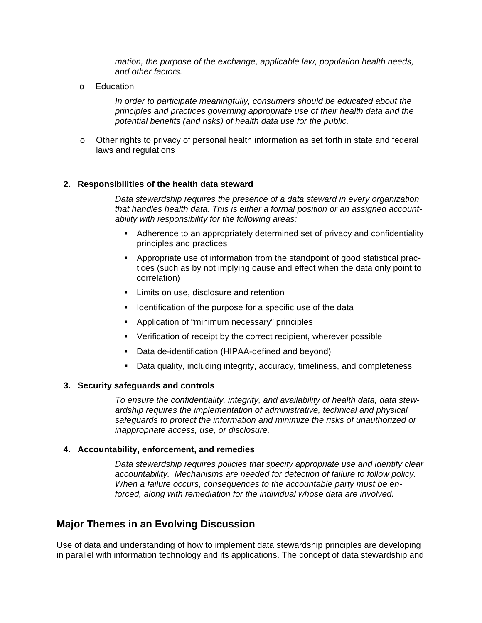*mation, the purpose of the exchange, applicable law, population health needs, and other factors.*

o Education

*In order to participate meaningfully, consumers should be educated about the principles and practices governing appropriate use of their health data and the potential benefits (and risks) of health data use for the public.*

o Other rights to privacy of personal health information as set forth in state and federal laws and regulations

#### **2. Responsibilities of the health data steward**

*Data stewardship requires the presence of a data steward in every organization that handles health data. This is either a formal position or an assigned accountability with responsibility for the following areas:* 

- Adherence to an appropriately determined set of privacy and confidentiality principles and practices
- Appropriate use of information from the standpoint of good statistical practices (such as by not implying cause and effect when the data only point to correlation)
- **EXECUTE:** Limits on use, disclosure and retention
- **If** Identification of the purpose for a specific use of the data
- Application of "minimum necessary" principles
- **•** Verification of receipt by the correct recipient, wherever possible
- Data de-identification (HIPAA-defined and beyond)
- Data quality, including integrity, accuracy, timeliness, and completeness

#### **3. Security safeguards and controls**

*To ensure the confidentiality, integrity, and availability of health data, data stewardship requires the implementation of administrative, technical and physical safeguards to protect the information and minimize the risks of unauthorized or inappropriate access, use, or disclosure.* 

#### **4. Accountability, enforcement, and remedies**

*Data stewardship requires policies that specify appropriate use and identify clear accountability. Mechanisms are needed for detection of failure to follow policy. When a failure occurs, consequences to the accountable party must be enforced, along with remediation for the individual whose data are involved.* 

## **Major Themes in an Evolving Discussion**

Use of data and understanding of how to implement data stewardship principles are developing in parallel with information technology and its applications. The concept of data stewardship and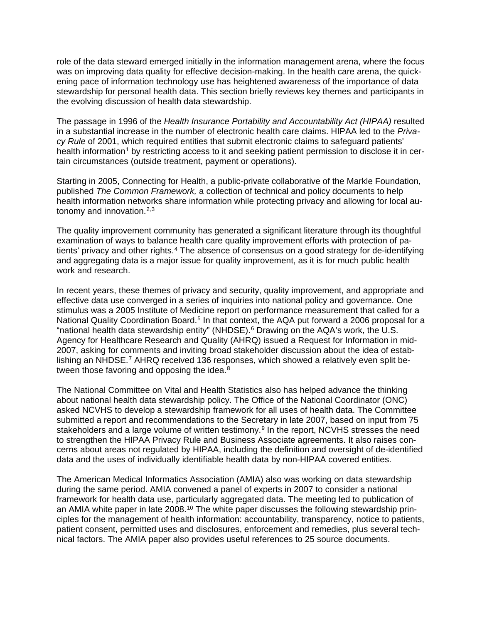role of the data steward emerged initially in the information management arena, where the focus was on improving data quality for effective decision-making. In the health care arena, the quickening pace of information technology use has heightened awareness of the importance of data stewardship for personal health data. This section briefly reviews key themes and participants in the evolving discussion of health data stewardship.

The passage in 1996 of the *Health Insurance Portability and Accountability Act (HIPAA)* resulted in a substantial increase in the number of electronic health care claims. HIPAA led to the *Privacy Rule* of 2001, which required entities that submit electronic claims to safeguard patients' health information<sup>[1](#page-10-0)</sup> by restricting access to it and seeking patient permission to disclose it in certain circumstances (outside treatment, payment or operations).

Starting in 2005, Connecting for Health, a public-private collaborative of the Markle Foundation, published *The Common Framework,* a collection of technical and policy documents to help health information networks share information while protecting privacy and allowing for local autonomy and innovation. $2,3$  $2,3$  $2,3$ 

The quality improvement community has generated a significant literature through its thoughtful examination of ways to balance health care quality improvement efforts with protection of patients' privacy and other rights.[4](#page-10-3) The absence of consensus on a good strategy for de-identifying and aggregating data is a major issue for quality improvement, as it is for much public health work and research.

In recent years, these themes of privacy and security, quality improvement, and appropriate and effective data use converged in a series of inquiries into national policy and governance. One stimulus was a 2005 Institute of Medicine report on performance measurement that called for a National Quality Coordination Board.<sup>[5](#page-10-4)</sup> In that context, the AQA put forward a 2006 proposal for a "national health data stewardship entity" (NHDSE).[6](#page-10-5) Drawing on the AQA's work, the U.S. Agency for Healthcare Research and Quality (AHRQ) issued a Request for Information in mid-2007, asking for comments and inviting broad stakeholder discussion about the idea of establishing an NHDSE.[7](#page-10-6) AHRQ received 136 responses, which showed a relatively even split be-tween those favoring and opposing the idea.<sup>[8](#page-10-7)</sup>

The National Committee on Vital and Health Statistics also has helped advance the thinking about national health data stewardship policy. The Office of the National Coordinator (ONC) asked NCVHS to develop a stewardship framework for all uses of health data. The Committee submitted a report and recommendations to the Secretary in late 2007, based on input from 75 stakeholders and a large volume of written testimony.<sup>[9](#page-10-8)</sup> In the report, NCVHS stresses the need to strengthen the HIPAA Privacy Rule and Business Associate agreements. It also raises concerns about areas not regulated by HIPAA, including the definition and oversight of de-identified data and the uses of individually identifiable health data by non-HIPAA covered entities.

The American Medical Informatics Association (AMIA) also was working on data stewardship during the same period. AMIA convened a panel of experts in 2007 to consider a national framework for health data use, particularly aggregated data. The meeting led to publication of an AMIA white paper in late 2008.<sup>[10](#page-10-9)</sup> The white paper discusses the following stewardship principles for the management of health information: accountability, transparency, notice to patients, patient consent, permitted uses and disclosures, enforcement and remedies, plus several technical factors. The AMIA paper also provides useful references to 25 source documents.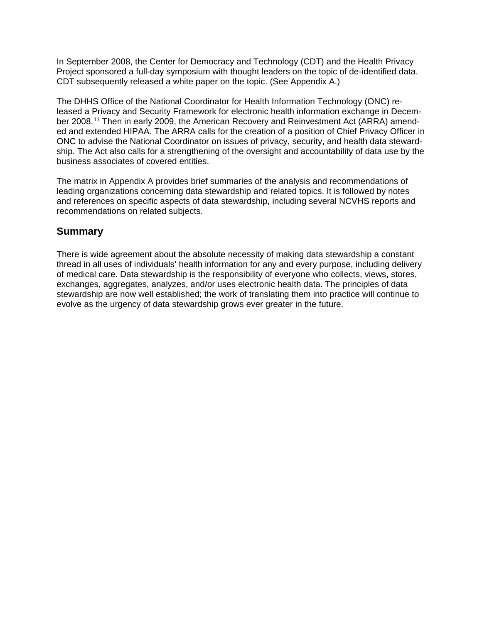In September 2008, the Center for Democracy and Technology (CDT) and the Health Privacy Project sponsored a full-day symposium with thought leaders on the topic of de-identified data. CDT subsequently released a white paper on the topic. (See Appendix A.)

The DHHS Office of the National Coordinator for Health Information Technology (ONC) released a Privacy and Security Framework for electronic health information exchange in Decem-ber 2008.<sup>[11](#page-11-0)</sup> Then in early 2009, the American Recovery and Reinvestment Act (ARRA) amended and extended HIPAA. The ARRA calls for the creation of a position of Chief Privacy Officer in ONC to advise the National Coordinator on issues of privacy, security, and health data stewardship. The Act also calls for a strengthening of the oversight and accountability of data use by the business associates of covered entities.

The matrix in Appendix A provides brief summaries of the analysis and recommendations of leading organizations concerning data stewardship and related topics. It is followed by notes and references on specific aspects of data stewardship, including several NCVHS reports and recommendations on related subjects.

## **Summary**

There is wide agreement about the absolute necessity of making data stewardship a constant thread in all uses of individuals' health information for any and every purpose, including delivery of medical care. Data stewardship is the responsibility of everyone who collects, views, stores, exchanges, aggregates, analyzes, and/or uses electronic health data. The principles of data stewardship are now well established; the work of translating them into practice will continue to evolve as the urgency of data stewardship grows ever greater in the future.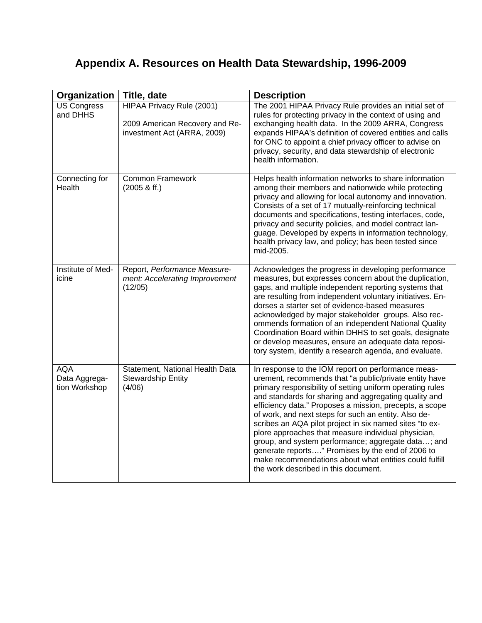## **Appendix A. Resources on Health Data Stewardship, 1996-2009**

| Organization                                 | Title, date                                                                                       | <b>Description</b>                                                                                                                                                                                                                                                                                                                                                                                                                                                                                                                                                                                                                                                                  |
|----------------------------------------------|---------------------------------------------------------------------------------------------------|-------------------------------------------------------------------------------------------------------------------------------------------------------------------------------------------------------------------------------------------------------------------------------------------------------------------------------------------------------------------------------------------------------------------------------------------------------------------------------------------------------------------------------------------------------------------------------------------------------------------------------------------------------------------------------------|
| <b>US Congress</b><br>and DHHS               | <b>HIPAA Privacy Rule (2001)</b><br>2009 American Recovery and Re-<br>investment Act (ARRA, 2009) | The 2001 HIPAA Privacy Rule provides an initial set of<br>rules for protecting privacy in the context of using and<br>exchanging health data. In the 2009 ARRA, Congress<br>expands HIPAA's definition of covered entities and calls<br>for ONC to appoint a chief privacy officer to advise on<br>privacy, security, and data stewardship of electronic<br>health information.                                                                                                                                                                                                                                                                                                     |
| Connecting for<br>Health                     | <b>Common Framework</b><br>$(2005 \& \text{ff.})$                                                 | Helps health information networks to share information<br>among their members and nationwide while protecting<br>privacy and allowing for local autonomy and innovation.<br>Consists of a set of 17 mutually-reinforcing technical<br>documents and specifications, testing interfaces, code,<br>privacy and security policies, and model contract lan-<br>guage. Developed by experts in information technology,<br>health privacy law, and policy; has been tested since<br>mid-2005.                                                                                                                                                                                             |
| Institute of Med-<br>icine                   | Report, Performance Measure-<br>ment: Accelerating Improvement<br>(12/05)                         | Acknowledges the progress in developing performance<br>measures, but expresses concern about the duplication,<br>gaps, and multiple independent reporting systems that<br>are resulting from independent voluntary initiatives. En-<br>dorses a starter set of evidence-based measures<br>acknowledged by major stakeholder groups. Also rec-<br>ommends formation of an independent National Quality<br>Coordination Board within DHHS to set goals, designate<br>or develop measures, ensure an adequate data reposi-<br>tory system, identify a research agenda, and evaluate.                                                                                                   |
| <b>AQA</b><br>Data Aggrega-<br>tion Workshop | Statement, National Health Data<br><b>Stewardship Entity</b><br>(4/06)                            | In response to the IOM report on performance meas-<br>urement, recommends that "a public/private entity have<br>primary responsibility of setting uniform operating rules<br>and standards for sharing and aggregating quality and<br>efficiency data." Proposes a mission, precepts, a scope<br>of work, and next steps for such an entity. Also de-<br>scribes an AQA pilot project in six named sites "to ex-<br>plore approaches that measure individual physician,<br>group, and system performance; aggregate data; and<br>generate reports" Promises by the end of 2006 to<br>make recommendations about what entities could fulfill<br>the work described in this document. |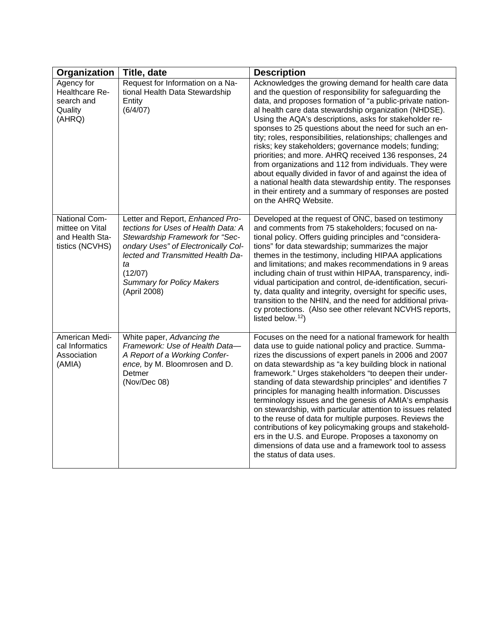| Organization                                                           | Title, date                                                                                                                                                                                                                                                 | <b>Description</b>                                                                                                                                                                                                                                                                                                                                                                                                                                                                                                                                                                                                                                                                                                                                                                                                |
|------------------------------------------------------------------------|-------------------------------------------------------------------------------------------------------------------------------------------------------------------------------------------------------------------------------------------------------------|-------------------------------------------------------------------------------------------------------------------------------------------------------------------------------------------------------------------------------------------------------------------------------------------------------------------------------------------------------------------------------------------------------------------------------------------------------------------------------------------------------------------------------------------------------------------------------------------------------------------------------------------------------------------------------------------------------------------------------------------------------------------------------------------------------------------|
| Agency for<br>Healthcare Re-<br>search and<br>Quality<br>(AHRQ)        | Request for Information on a Na-<br>tional Health Data Stewardship<br>Entity<br>(6/4/07)                                                                                                                                                                    | Acknowledges the growing demand for health care data<br>and the question of responsibility for safeguarding the<br>data, and proposes formation of "a public-private nation-<br>al health care data stewardship organization (NHDSE).<br>Using the AQA's descriptions, asks for stakeholder re-<br>sponses to 25 questions about the need for such an en-<br>tity; roles, responsibilities, relationships; challenges and<br>risks; key stakeholders; governance models; funding;<br>priorities; and more. AHRQ received 136 responses, 24<br>from organizations and 112 from individuals. They were<br>about equally divided in favor of and against the idea of<br>a national health data stewardship entity. The responses<br>in their entirety and a summary of responses are posted<br>on the AHRQ Website.  |
| National Com-<br>mittee on Vital<br>and Health Sta-<br>tistics (NCVHS) | Letter and Report, Enhanced Pro-<br>tections for Uses of Health Data: A<br>Stewardship Framework for "Sec-<br>ondary Uses" of Electronically Col-<br>lected and Transmitted Health Da-<br>ta<br>(12/07)<br><b>Summary for Policy Makers</b><br>(April 2008) | Developed at the request of ONC, based on testimony<br>and comments from 75 stakeholders; focused on na-<br>tional policy. Offers guiding principles and "considera-<br>tions" for data stewardship; summarizes the major<br>themes in the testimony, including HIPAA applications<br>and limitations; and makes recommendations in 9 areas<br>including chain of trust within HIPAA, transparency, indi-<br>vidual participation and control, de-identification, securi-<br>ty, data quality and integrity, oversight for specific uses,<br>transition to the NHIN, and the need for additional priva-<br>cy protections. (Also see other relevant NCVHS reports,<br>listed below. <sup>12</sup> )                                                                                                               |
| American Medi-<br>cal Informatics<br>Association<br>(AMIA)             | White paper, Advancing the<br>Framework: Use of Health Data-<br>A Report of a Working Confer-<br>ence, by M. Bloomrosen and D.<br>Detmer<br>(Nov/Dec 08)                                                                                                    | Focuses on the need for a national framework for health<br>data use to guide national policy and practice. Summa-<br>rizes the discussions of expert panels in 2006 and 2007<br>on data stewardship as "a key building block in national<br>framework." Urges stakeholders "to deepen their under-<br>standing of data stewardship principles" and identifies 7<br>principles for managing health information. Discusses<br>terminology issues and the genesis of AMIA's emphasis<br>on stewardship, with particular attention to issues related<br>to the reuse of data for multiple purposes. Reviews the<br>contributions of key policymaking groups and stakehold-<br>ers in the U.S. and Europe. Proposes a taxonomy on<br>dimensions of data use and a framework tool to assess<br>the status of data uses. |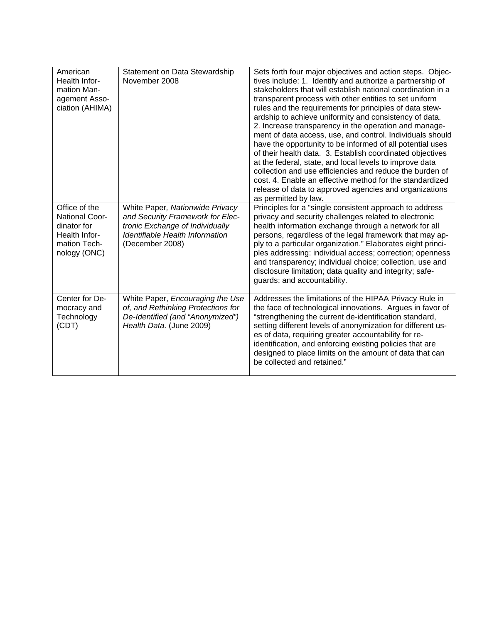| American<br>Health Infor-<br>mation Man-<br>agement Asso-<br>ciation (AHIMA)                    | Statement on Data Stewardship<br>November 2008                                                                                                               | Sets forth four major objectives and action steps. Objec-<br>tives include: 1. Identify and authorize a partnership of<br>stakeholders that will establish national coordination in a<br>transparent process with other entities to set uniform<br>rules and the requirements for principles of data stew-<br>ardship to achieve uniformity and consistency of data.<br>2. Increase transparency in the operation and manage-<br>ment of data access, use, and control. Individuals should<br>have the opportunity to be informed of all potential uses<br>of their health data. 3. Establish coordinated objectives<br>at the federal, state, and local levels to improve data<br>collection and use efficiencies and reduce the burden of<br>cost. 4. Enable an effective method for the standardized<br>release of data to approved agencies and organizations<br>as permitted by law. |
|-------------------------------------------------------------------------------------------------|--------------------------------------------------------------------------------------------------------------------------------------------------------------|-------------------------------------------------------------------------------------------------------------------------------------------------------------------------------------------------------------------------------------------------------------------------------------------------------------------------------------------------------------------------------------------------------------------------------------------------------------------------------------------------------------------------------------------------------------------------------------------------------------------------------------------------------------------------------------------------------------------------------------------------------------------------------------------------------------------------------------------------------------------------------------------|
| Office of the<br>National Coor-<br>dinator for<br>Health Infor-<br>mation Tech-<br>nology (ONC) | White Paper, Nationwide Privacy<br>and Security Framework for Elec-<br>tronic Exchange of Individually<br>Identifiable Health Information<br>(December 2008) | Principles for a "single consistent approach to address<br>privacy and security challenges related to electronic<br>health information exchange through a network for all<br>persons, regardless of the legal framework that may ap-<br>ply to a particular organization." Elaborates eight princi-<br>ples addressing: individual access; correction; openness<br>and transparency; individual choice; collection, use and<br>disclosure limitation; data quality and integrity; safe-<br>guards; and accountability.                                                                                                                                                                                                                                                                                                                                                                    |
| Center for De-<br>mocracy and<br>Technology<br>(CDT)                                            | White Paper, Encouraging the Use<br>of, and Rethinking Protections for<br>De-Identified (and "Anonymized")<br>Health Data. (June 2009)                       | Addresses the limitations of the HIPAA Privacy Rule in<br>the face of technological innovations. Argues in favor of<br>"strengthening the current de-identification standard,<br>setting different levels of anonymization for different us-<br>es of data, requiring greater accountability for re-<br>identification, and enforcing existing policies that are<br>designed to place limits on the amount of data that can<br>be collected and retained."                                                                                                                                                                                                                                                                                                                                                                                                                                |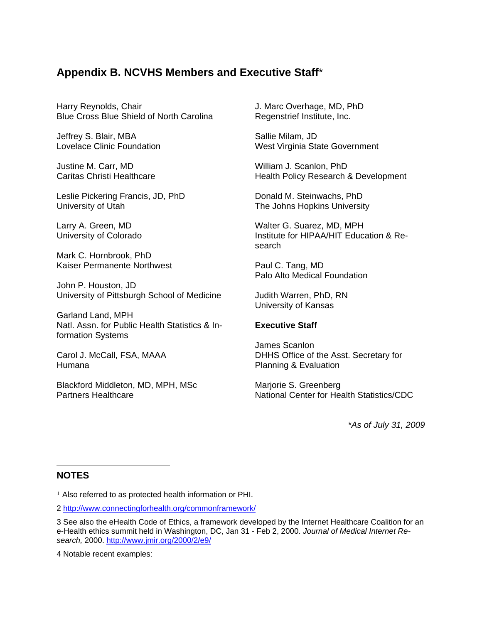## **Appendix B. NCVHS Members and Executive Staff**\*

<span id="page-10-4"></span>Harry Reynolds, Chair Blue Cross Blue Shield of North Carolina

Jeffrey S. Blair, MBA Lovelace Clinic Foundation

<span id="page-10-5"></span>Justine M. Carr, MD Caritas Christi Healthcare

<span id="page-10-7"></span><span id="page-10-6"></span>Leslie Pickering Francis, JD, PhD University of Utah

Larry A. Green, MD University of Colorado

Mark C. Hornbrook, PhD Kaiser Permanente Northwest

<span id="page-10-8"></span>John P. Houston, JD University of Pittsburgh School of Medicine

<span id="page-10-9"></span>Garland Land, MPH Natl. Assn. for Public Health Statistics & Information Systems

Carol J. McCall, FSA, MAAA Humana

Blackford Middleton, MD, MPH, MSc Partners Healthcare

J. Marc Overhage, MD, PhD Regenstrief Institute, Inc.

Sallie Milam, JD West Virginia State Government

William J. Scanlon, PhD Health Policy Research & Development

Donald M. Steinwachs, PhD The Johns Hopkins University

Walter G. Suarez, MD, MPH Institute for HIPAA/HIT Education & Research

Paul C. Tang, MD Palo Alto Medical Foundation

Judith Warren, PhD, RN University of Kansas

## **Executive Staff**

James Scanlon DHHS Office of the Asst. Secretary for Planning & Evaluation

Marjorie S. Greenberg National Center for Health Statistics/CDC

*\*As of July 31, 2009*

## <span id="page-10-0"></span>**NOTES**

j

<span id="page-10-3"></span>4 Notable recent examples:

<sup>&</sup>lt;sup>1</sup> Also referred to as protected health information or PHI.

<span id="page-10-1"></span><sup>2</sup> <http://www.connectingforhealth.org/commonframework/>

<span id="page-10-2"></span><sup>3</sup> See also the eHealth Code of Ethics, a framework developed by the Internet Healthcare Coalition for an e-Health ethics summit held in Washington, DC, Jan 31 - Feb 2, 2000. *Journal of Medical Internet Research,* 2000.<http://www.jmir.org/2000/2/e9/>